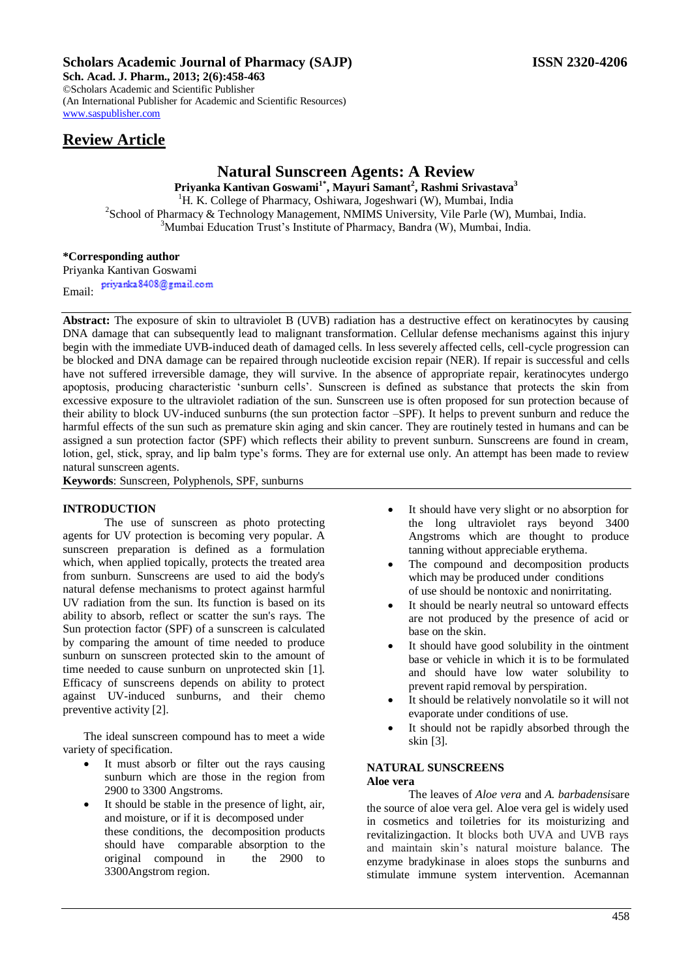# **Scholars Academic Journal of Pharmacy (SAJP) ISSN 2320-4206**

**Sch. Acad. J. Pharm., 2013; 2(6):458-463** ©Scholars Academic and Scientific Publisher (An International Publisher for Academic and Scientific Resources) [www.saspublisher.com](http://www.saspublisher.com/) 

# **Natural Sunscreen Agents: A Review**

**Priyanka Kantivan Goswami1\*, Mayuri Samant<sup>2</sup> , Rashmi Srivastava<sup>3</sup>** <sup>1</sup>H. K. College of Pharmacy, Oshiwara, Jogeshwari (W), Mumbai, India <sup>2</sup>School of Pharmacy & Technology Management, NMIMS University, Vile Parle (W), Mumbai, India.  $3$ Mumbai Education Trust's Institute of Pharmacy, Bandra (W), Mumbai, India.

# **\*Corresponding author**

Priyanka Kantivan Goswami<br>Priyanka 8408@gmail.com Email:

**Abstract:** The exposure of skin to ultraviolet B (UVB) radiation has a destructive effect on keratinocytes by causing DNA damage that can subsequently lead to malignant transformation. Cellular defense mechanisms against this injury begin with the immediate UVB-induced death of damaged cells. In less severely affected cells, cell-cycle progression can be blocked and DNA damage can be repaired through nucleotide excision repair (NER). If repair is successful and cells have not suffered irreversible damage, they will survive. In the absence of appropriate repair, keratinocytes undergo apoptosis, producing characteristic "sunburn cells". Sunscreen is defined as substance that protects the skin from excessive exposure to the ultraviolet radiation of the sun. Sunscreen use is often proposed for sun protection because of their ability to block UV-induced sunburns (the sun protection factor –SPF). It helps to prevent sunburn and reduce the harmful effects of the sun such as premature skin aging and skin cancer. They are routinely tested in humans and can be assigned a sun protection factor (SPF) which reflects their ability to prevent sunburn. Sunscreens are found in cream, lotion, gel, stick, spray, and lip balm type's forms. They are for external use only. An attempt has been made to review natural sunscreen agents.

**Keywords**: Sunscreen, Polyphenols, SPF, sunburns

# **INTRODUCTION**

The use of sunscreen as photo protecting agents for UV protection is becoming very popular. A sunscreen preparation is defined as a formulation which, when applied topically, protects the treated area from sunburn. Sunscreens are used to aid the body's natural defense mechanisms to protect against harmful UV radiation from the sun. Its function is based on its ability to absorb, reflect or scatter the sun's rays. The Sun protection factor (SPF) of a sunscreen is calculated by comparing the amount of time needed to produce sunburn on sunscreen protected skin to the amount of time needed to cause sunburn on unprotected skin [1]. Efficacy of sunscreens depends on ability to protect against UV-induced sunburns, and their chemo preventive activity [2].

The ideal sunscreen compound has to meet a wide variety of specification.

- It must absorb or filter out the rays causing sunburn which are those in the region from 2900 to 3300 Angstroms.
- It should be stable in the presence of light, air, and moisture, or if it is decomposed under these conditions, the decomposition products should have comparable absorption to the original compound in the 2900 to 3300Angstrom region.
- It should have very slight or no absorption for the long ultraviolet rays beyond 3400 Angstroms which are thought to produce tanning without appreciable erythema.
- The compound and decomposition products which may be produced under conditions of use should be nontoxic and nonirritating.
- It should be nearly neutral so untoward effects are not produced by the presence of acid or base on the skin.
- It should have good solubility in the ointment base or vehicle in which it is to be formulated and should have low water solubility to prevent rapid removal by perspiration.
- It should be relatively nonvolatile so it will not evaporate under conditions of use.
- It should not be rapidly absorbed through the skin [3].

# **NATURAL SUNSCREENS**

# **Aloe vera**

The leaves of *Aloe vera* and *A. barbadensis*are the source of aloe vera gel. Aloe vera gel is widely used in cosmetics and toiletries for its moisturizing and revitalizingaction. It blocks both UVA and UVB rays and maintain skin"s natural moisture balance. The enzyme bradykinase in aloes stops the sunburns and stimulate immune system intervention. Acemannan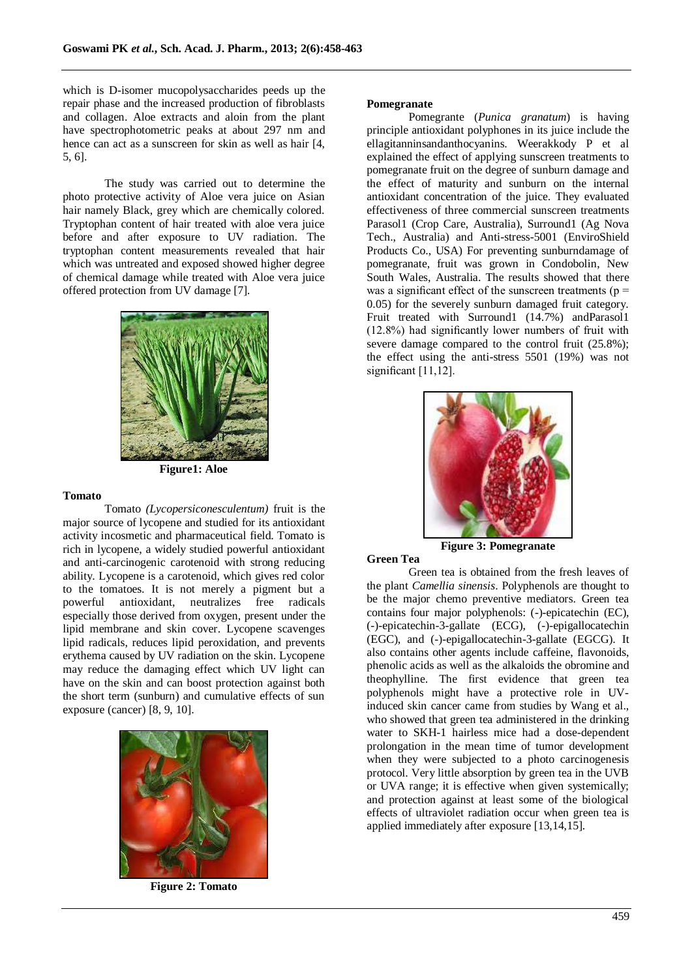which is D-isomer mucopolysaccharides peeds up the repair phase and the increased production of fibroblasts and collagen. Aloe extracts and aloin from the plant have spectrophotometric peaks at about 297 nm and hence can act as a sunscreen for skin as well as hair [4,] 5, 6].

The study was carried out to determine the photo protective activity of Aloe vera juice on Asian hair namely Black, grey which are chemically colored. Tryptophan content of hair treated with aloe vera juice before and after exposure to UV radiation. The tryptophan content measurements revealed that hair which was untreated and exposed showed higher degree of chemical damage while treated with Aloe vera juice offered protection from UV damage [7].



**Figure1: Aloe** 

#### **Tomato**

Tomato *(Lycopersiconesculentum)* fruit is the major source of lycopene and studied for its antioxidant activity incosmetic and pharmaceutical field. Tomato is rich in lycopene, a widely studied powerful antioxidant and anti-carcinogenic carotenoid with strong reducing ability. Lycopene is a carotenoid, which gives red color to the tomatoes. It is not merely a pigment but a powerful antioxidant, neutralizes free radicals especially those derived from oxygen, present under the lipid membrane and skin cover. Lycopene scavenges lipid radicals, reduces lipid peroxidation, and prevents erythema caused by UV radiation on the skin. Lycopene may reduce the damaging effect which UV light can have on the skin and can boost protection against both the short term (sunburn) and cumulative effects of sun exposure (cancer) [8, 9, 10].



**Figure 2: Tomato**

#### **Pomegranate**

Pomegrante (*Punica granatum*) is having principle antioxidant polyphones in its juice include the ellagitanninsandanthocyanins. Weerakkody P et al explained the effect of applying sunscreen treatments to pomegranate fruit on the degree of sunburn damage and the effect of maturity and sunburn on the internal antioxidant concentration of the juice. They evaluated effectiveness of three commercial sunscreen treatments Parasol1 (Crop Care, Australia), Surround1 (Ag Nova Tech., Australia) and Anti-stress-5001 (EnviroShield Products Co., USA) For preventing sunburndamage of pomegranate, fruit was grown in Condobolin, New South Wales, Australia. The results showed that there was a significant effect of the sunscreen treatments ( $p =$ 0.05) for the severely sunburn damaged fruit category. Fruit treated with Surround1 (14.7%) andParasol1 (12.8%) had significantly lower numbers of fruit with severe damage compared to the control fruit (25.8%); the effect using the anti-stress 5501 (19%) was not significant [11,12].



**Figure 3: Pomegranate**

# **Green Tea**

Green tea is obtained from the fresh leaves of the plant *Camellia sinensis*. Polyphenols are thought to be the major chemo preventive mediators. Green tea contains four major polyphenols: (-)-epicatechin (EC), (-)-epicatechin-3-gallate (ECG), (-)-epigallocatechin (EGC), and (-)-epigallocatechin-3-gallate (EGCG). It also contains other agents include caffeine, flavonoids, phenolic acids as well as the alkaloids the obromine and theophylline. The first evidence that green tea polyphenols might have a protective role in UVinduced skin cancer came from studies by Wang et al., who showed that green tea administered in the drinking water to SKH-1 hairless mice had a dose-dependent prolongation in the mean time of tumor development when they were subjected to a photo carcinogenesis protocol. Very little absorption by green tea in the UVB or UVA range; it is effective when given systemically; and protection against at least some of the biological effects of ultraviolet radiation occur when green tea is applied immediately after exposure [13,14,15].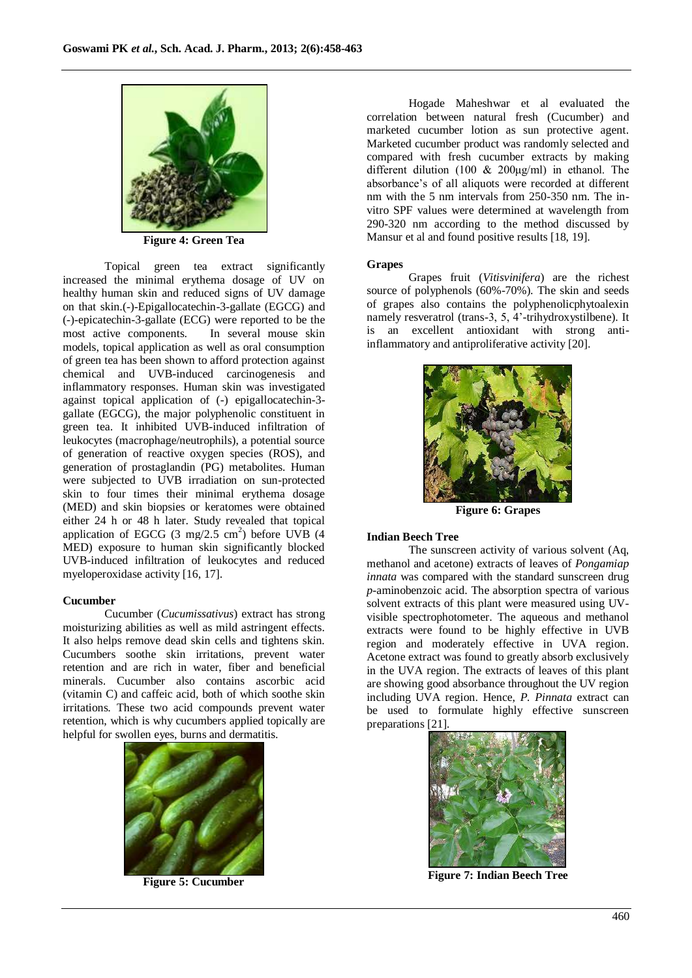

**Figure 4: Green Tea**

Topical green tea extract significantly increased the minimal erythema dosage of UV on healthy human skin and reduced signs of UV damage on that skin.(-)-Epigallocatechin-3-gallate (EGCG) and (-)-epicatechin-3-gallate (ECG) were reported to be the most active components. In several mouse skin models, topical application as well as oral consumption of green tea has been shown to afford protection against chemical and UVB-induced carcinogenesis and inflammatory responses. Human skin was investigated against topical application of (-) epigallocatechin-3 gallate (EGCG), the major polyphenolic constituent in green tea. It inhibited UVB-induced infiltration of leukocytes (macrophage/neutrophils), a potential source of generation of reactive oxygen species (ROS), and generation of prostaglandin (PG) metabolites. Human were subjected to UVB irradiation on sun-protected skin to four times their minimal erythema dosage (MED) and skin biopsies or keratomes were obtained either 24 h or 48 h later. Study revealed that topical application of EGCG  $(3 \text{ mg}/2.5 \text{ cm}^2)$  before UVB  $(4 \text{ g})$ MED) exposure to human skin significantly blocked UVB-induced infiltration of leukocytes and reduced myeloperoxidase activity [16, 17].

# **Cucumber**

Cucumber (*Cucumissativus*) extract has strong moisturizing abilities as well as mild astringent effects. It also helps remove dead skin cells and tightens skin. Cucumbers soothe skin irritations, prevent water retention and are rich in water, fiber and beneficial minerals. Cucumber also contains ascorbic acid (vitamin C) and caffeic acid, both of which soothe skin irritations. These two acid compounds prevent water retention, which is why cucumbers applied topically are helpful for swollen eyes, burns and dermatitis.



**Figure 5: Cucumber**

Hogade Maheshwar et al evaluated the correlation between natural fresh (Cucumber) and marketed cucumber lotion as sun protective agent. Marketed cucumber product was randomly selected and compared with fresh cucumber extracts by making different dilution (100 & 200μg/ml) in ethanol. The absorbance"s of all aliquots were recorded at different nm with the 5 nm intervals from 250-350 nm. The invitro SPF values were determined at wavelength from 290-320 nm according to the method discussed by Mansur et al and found positive results [18, 19].

# **Grapes**

Grapes fruit (*Vitisvinifera*) are the richest source of polyphenols (60%-70%). The skin and seeds of grapes also contains the polyphenolicphytoalexin namely resveratrol (trans-3, 5, 4'-trihydroxystilbene). It is an excellent antioxidant with strong antiinflammatory and antiproliferative activity [20].



**Figure 6: Grapes**

# **Indian Beech Tree**

The sunscreen activity of various solvent (Aq, methanol and acetone) extracts of leaves of *Pongamiap innata* was compared with the standard sunscreen drug *p-*aminobenzoic acid. The absorption spectra of various solvent extracts of this plant were measured using UVvisible spectrophotometer. The aqueous and methanol extracts were found to be highly effective in UVB region and moderately effective in UVA region. Acetone extract was found to greatly absorb exclusively in the UVA region. The extracts of leaves of this plant are showing good absorbance throughout the UV region including UVA region. Hence, *P. Pinnata* extract can be used to formulate highly effective sunscreen preparations [21].



**Figure 7: Indian Beech Tree**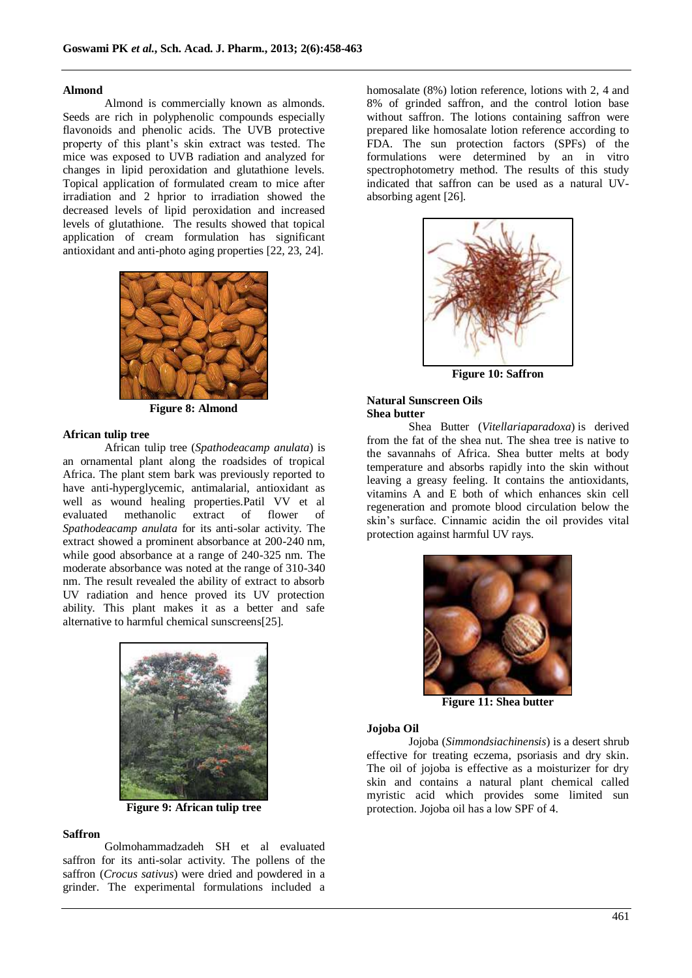#### **Almond**

Almond is commercially known as almonds. Seeds are rich in polyphenolic compounds especially flavonoids and phenolic acids. The UVB protective property of this plant"s skin extract was tested. The mice was exposed to UVB radiation and analyzed for changes in lipid peroxidation and glutathione levels. Topical application of formulated cream to mice after irradiation and 2 hprior to irradiation showed the decreased levels of lipid peroxidation and increased levels of glutathione. The results showed that topical application of cream formulation has significant antioxidant and anti-photo aging properties [22, 23, 24].



**Figure 8: Almond**

# **African tulip tree**

African tulip tree (*Spathodeacamp anulata*) is an ornamental plant along the roadsides of tropical Africa. The plant stem bark was previously reported to have anti-hyperglycemic, antimalarial, antioxidant as well as wound healing properties.Patil VV et al evaluated methanolic extract of flower of *Spathodeacamp anulata* for its anti-solar activity. The extract showed a prominent absorbance at 200-240 nm, while good absorbance at a range of 240-325 nm. The moderate absorbance was noted at the range of 310-340 nm. The result revealed the ability of extract to absorb UV radiation and hence proved its UV protection ability. This plant makes it as a better and safe alternative to harmful chemical sunscreens[25].



**Figure 9: African tulip tree**

#### **Saffron**

Golmohammadzadeh SH et al evaluated saffron for its anti-solar activity. The pollens of the saffron (*Crocus sativus*) were dried and powdered in a grinder. The experimental formulations included a

homosalate (8%) lotion reference, lotions with 2, 4 and 8% of grinded saffron, and the control lotion base without saffron. The lotions containing saffron were prepared like homosalate lotion reference according to FDA. The sun protection factors (SPFs) of the formulations were determined by an in vitro spectrophotometry method. The results of this study indicated that saffron can be used as a natural UVabsorbing agent [26].



**Figure 10: Saffron**

# **Natural Sunscreen Oils Shea butter**

Shea Butter (*Vitellariaparadoxa*) is derived from the fat of the shea nut. The shea tree is native to the savannahs of Africa. Shea butter melts at body temperature and absorbs rapidly into the skin without leaving a greasy feeling. It contains the antioxidants, vitamins A and E both of which enhances skin cell regeneration and promote blood circulation below the skin"s surface. Cinnamic acidin the oil provides vital protection against harmful UV rays.



**Figure 11: Shea butter**

#### **Jojoba Oil**

Jojoba (*Simmondsiachinensis*) is a desert shrub effective for treating eczema, psoriasis and dry skin. The oil of jojoba is effective as a moisturizer for dry skin and contains a natural plant chemical called myristic acid which provides some limited sun protection. Jojoba oil has a low SPF of 4.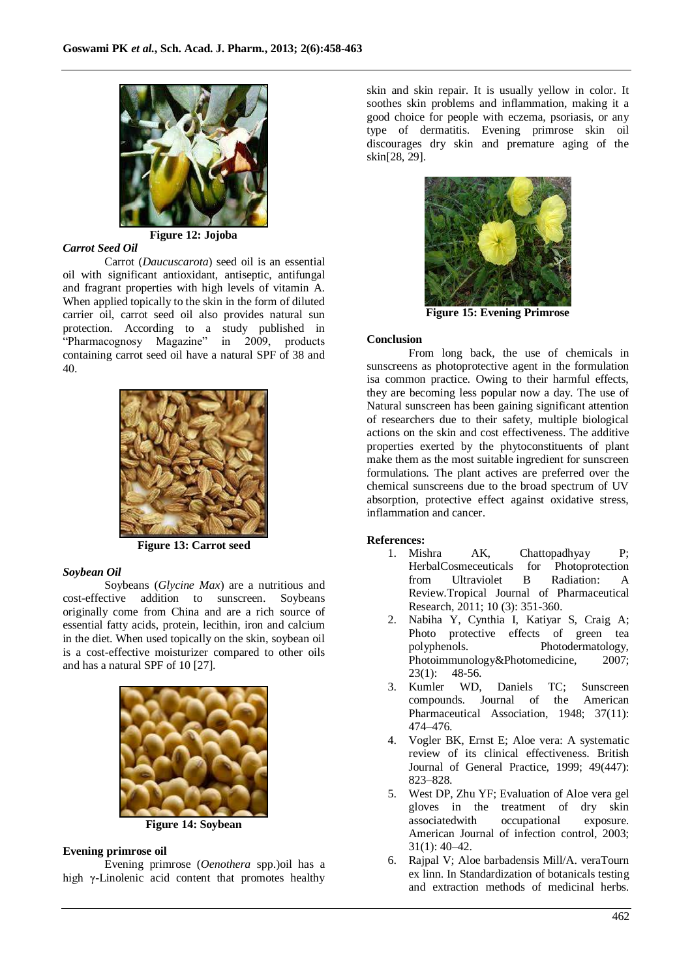

**Figure 12: Jojoba**

# *Carrot Seed Oil*

Carrot (*Daucuscarota*) seed oil is an essential oil with significant antioxidant, antiseptic, antifungal and fragrant properties with high levels of vitamin A. When applied topically to the skin in the form of diluted carrier oil, carrot seed oil also provides natural sun protection. According to a study published in "Pharmacognosy Magazine" in 2009, products containing carrot seed oil have a natural SPF of 38 and 40.



**Figure 13: Carrot seed**

# *Soybean Oil*

Soybeans (*Glycine Max*) are a nutritious and cost-effective addition to sunscreen. Soybeans originally come from China and are a rich source of essential fatty acids, protein, lecithin, iron and calcium in the diet. When used topically on the skin, soybean oil is a cost-effective moisturizer compared to other oils and has a natural SPF of 10 [27].



**Figure 14: Soybean**

# **Evening primrose oil**

Evening primrose (*Oenothera* spp.)oil has a high γ-Linolenic acid content that promotes healthy skin and skin repair. It is usually yellow in color. It soothes skin problems and inflammation, making it a good choice for people with eczema, psoriasis, or any type of dermatitis. Evening primrose skin oil discourages dry skin and premature aging of the skin[28, 29].



**Figure 15: Evening Primrose**

# **Conclusion**

From long back, the use of chemicals in sunscreens as photoprotective agent in the formulation isa common practice. Owing to their harmful effects, they are becoming less popular now a day. The use of Natural sunscreen has been gaining significant attention of researchers due to their safety, multiple biological actions on the skin and cost effectiveness. The additive properties exerted by the phytoconstituents of plant make them as the most suitable ingredient for sunscreen formulations. The plant actives are preferred over the chemical sunscreens due to the broad spectrum of UV absorption, protective effect against oxidative stress, inflammation and cancer.

# **References:**<br>1. Mishra

- AK, Chattopadhyay P; HerbalCosmeceuticals for Photoprotection from Ultraviolet B Radiation: A Review.Tropical Journal of Pharmaceutical Research, 2011; 10 (3): 351-360.
- 2. Nabiha Y, Cynthia I, Katiyar S, Craig A; Photo protective effects of green tea<br>polyphenols. Photodermatology, Photodermatology, Photoimmunology&Photomedicine, 2007; 23(1): 48-56.
- 3. Kumler WD, Daniels TC; Sunscreen compounds. Journal of the American Pharmaceutical Association, 1948; 37(11): 474–476.
- 4. Vogler BK, Ernst E; Aloe vera: A systematic review of its clinical effectiveness. British Journal of General Practice, 1999; 49(447): 823–828.
- 5. West DP, Zhu YF; Evaluation of Aloe vera gel gloves in the treatment of dry skin associatedwith occupational exposure. American Journal of infection control, 2003; 31(1): 40–42.
- 6. Rajpal V; Aloe barbadensis Mill/A. veraTourn ex linn. In Standardization of botanicals testing and extraction methods of medicinal herbs.